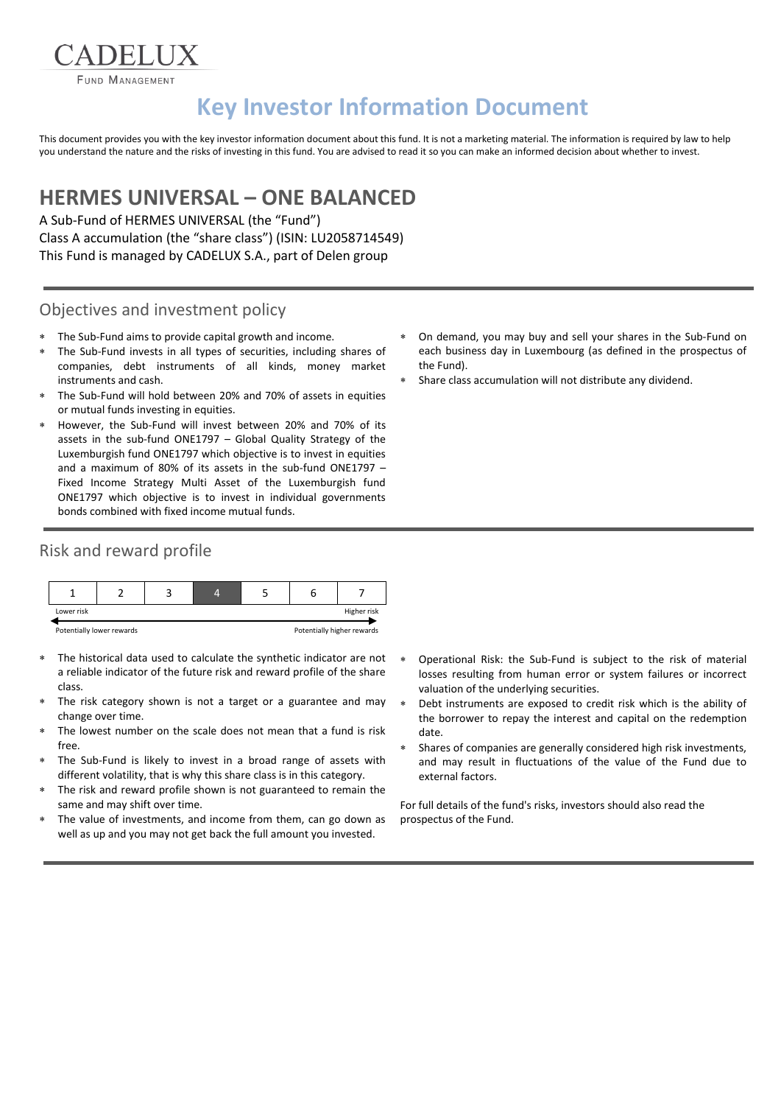FUND MANAGEMENT

ADELIX

# **Key Investor Information Document**

This document provides you with the key investor information document about this fund. It is not a marketing material. The information is required by law to help you understand the nature and the risks of investing in this fund. You are advised to read it so you can make an informed decision about whether to invest.

## **HERMES UNIVERSAL – ONE BALANCED**

A Sub-Fund of HERMES UNIVERSAL (the "Fund") Class A accumulation (the "share class") (ISIN: LU2058714549) This Fund is managed by CADELUX S.A., part of Delen group

#### Objectives and investment policy

- The Sub-Fund aims to provide capital growth and income.
- The Sub-Fund invests in all types of securities, including shares of companies, debt instruments of all kinds, money market instruments and cash.
- The Sub-Fund will hold between 20% and 70% of assets in equities or mutual funds investing in equities.
- However, the Sub-Fund will invest between 20% and 70% of its assets in the sub-fund ONE1797 – Global Quality Strategy of the Luxemburgish fund ONE1797 which objective is to invest in equities and a maximum of 80% of its assets in the sub-fund ONE1797 – Fixed Income Strategy Multi Asset of the Luxemburgish fund ONE1797 which objective is to invest in individual governments bonds combined with fixed income mutual funds.

### Risk and reward profile



- The historical data used to calculate the synthetic indicator are not a reliable indicator of the future risk and reward profile of the share class.
- The risk category shown is not a target or a guarantee and may change over time.
- The lowest number on the scale does not mean that a fund is risk free.
- The Sub-Fund is likely to invest in a broad range of assets with different volatility, that is why this share class is in this category.
- The risk and reward profile shown is not guaranteed to remain the same and may shift over time.
- The value of investments, and income from them, can go down as well as up and you may not get back the full amount you invested.
- On demand, you may buy and sell your shares in the Sub-Fund on each business day in Luxembourg (as defined in the prospectus of the Fund).
- Share class accumulation will not distribute any dividend.

- Operational Risk: the Sub-Fund is subject to the risk of material losses resulting from human error or system failures or incorrect valuation of the underlying securities.
- Debt instruments are exposed to credit risk which is the ability of the borrower to repay the interest and capital on the redemption date.
- Shares of companies are generally considered high risk investments, and may result in fluctuations of the value of the Fund due to external factors.

For full details of the fund's risks, investors should also read the prospectus of the Fund.